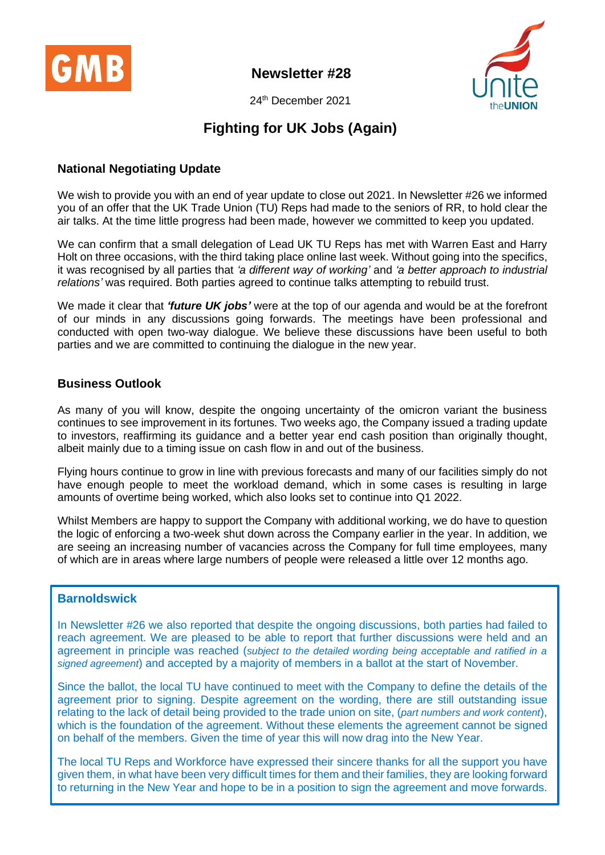

**Newsletter #28**



24 th December 2021

# **Fighting for UK Jobs (Again)**

# **National Negotiating Update**

We wish to provide you with an end of year update to close out 2021. In Newsletter #26 we informed you of an offer that the UK Trade Union (TU) Reps had made to the seniors of RR, to hold clear the air talks. At the time little progress had been made, however we committed to keep you updated.

We can confirm that a small delegation of Lead UK TU Reps has met with Warren East and Harry Holt on three occasions, with the third taking place online last week. Without going into the specifics, it was recognised by all parties that *'a different way of working'* and *'a better approach to industrial relations'* was required. Both parties agreed to continue talks attempting to rebuild trust.

We made it clear that *'future UK jobs'* were at the top of our agenda and would be at the forefront of our minds in any discussions going forwards. The meetings have been professional and conducted with open two-way dialogue. We believe these discussions have been useful to both parties and we are committed to continuing the dialogue in the new year.

## **Business Outlook**

As many of you will know, despite the ongoing uncertainty of the omicron variant the business continues to see improvement in its fortunes. Two weeks ago, the Company issued a trading update to investors, reaffirming its guidance and a better year end cash position than originally thought, albeit mainly due to a timing issue on cash flow in and out of the business.

Flying hours continue to grow in line with previous forecasts and many of our facilities simply do not have enough people to meet the workload demand, which in some cases is resulting in large amounts of overtime being worked, which also looks set to continue into Q1 2022.

Whilst Members are happy to support the Company with additional working, we do have to question the logic of enforcing a two-week shut down across the Company earlier in the year. In addition, we are seeing an increasing number of vacancies across the Company for full time employees, many of which are in areas where large numbers of people were released a little over 12 months ago.

## **Barnoldswick**

In Newsletter #26 we also reported that despite the ongoing discussions, both parties had failed to reach agreement. We are pleased to be able to report that further discussions were held and an agreement in principle was reached (*subject to the detailed wording being acceptable and ratified in a signed agreement*) and accepted by a majority of members in a ballot at the start of November.

Since the ballot, the local TU have continued to meet with the Company to define the details of the agreement prior to signing. Despite agreement on the wording, there are still outstanding issue relating to the lack of detail being provided to the trade union on site, (*part numbers and work content*), which is the foundation of the agreement. Without these elements the agreement cannot be signed on behalf of the members. Given the time of year this will now drag into the New Year.

The local TU Reps and Workforce have expressed their sincere thanks for all the support you have given them, in what have been very difficult times for them and their families, they are looking forward to returning in the New Year and hope to be in a position to sign the agreement and move forwards.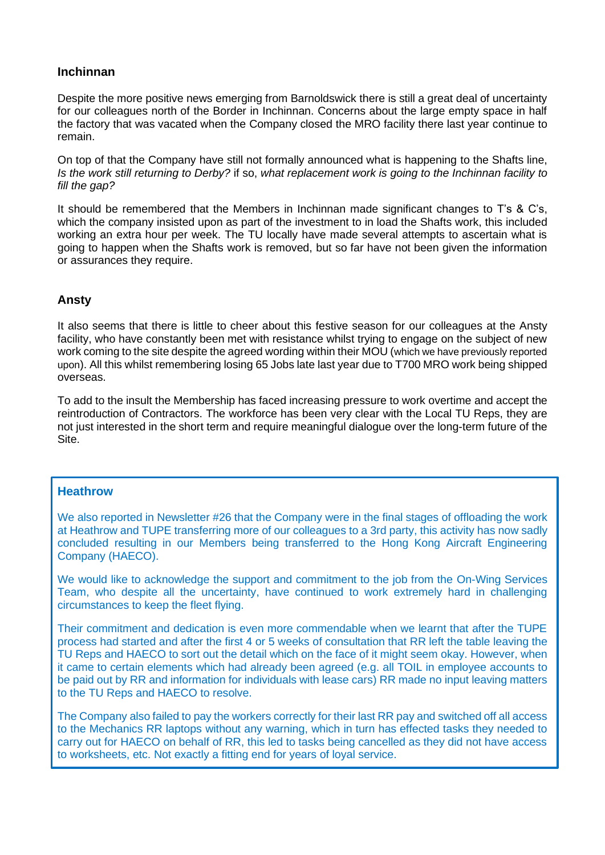### **Inchinnan**

Despite the more positive news emerging from Barnoldswick there is still a great deal of uncertainty for our colleagues north of the Border in Inchinnan. Concerns about the large empty space in half the factory that was vacated when the Company closed the MRO facility there last year continue to remain.

On top of that the Company have still not formally announced what is happening to the Shafts line, *Is the work still returning to Derby?* if so, *what replacement work is going to the Inchinnan facility to fill the gap?*

It should be remembered that the Members in Inchinnan made significant changes to T's & C's, which the company insisted upon as part of the investment to in load the Shafts work, this included working an extra hour per week. The TU locally have made several attempts to ascertain what is going to happen when the Shafts work is removed, but so far have not been given the information or assurances they require.

## **Ansty**

It also seems that there is little to cheer about this festive season for our colleagues at the Ansty facility, who have constantly been met with resistance whilst trying to engage on the subject of new work coming to the site despite the agreed wording within their MOU (which we have previously reported upon). All this whilst remembering losing 65 Jobs late last year due to T700 MRO work being shipped overseas.

To add to the insult the Membership has faced increasing pressure to work overtime and accept the reintroduction of Contractors. The workforce has been very clear with the Local TU Reps, they are not just interested in the short term and require meaningful dialogue over the long-term future of the Site.

#### **Heathrow**

We also reported in Newsletter #26 that the Company were in the final stages of offloading the work at Heathrow and TUPE transferring more of our colleagues to a 3rd party, this activity has now sadly concluded resulting in our Members being transferred to the Hong Kong Aircraft Engineering Company (HAECO).

We would like to acknowledge the support and commitment to the job from the On-Wing Services Team, who despite all the uncertainty, have continued to work extremely hard in challenging circumstances to keep the fleet flying.

Their commitment and dedication is even more commendable when we learnt that after the TUPE process had started and after the first 4 or 5 weeks of consultation that RR left the table leaving the TU Reps and HAECO to sort out the detail which on the face of it might seem okay. However, when it came to certain elements which had already been agreed (e.g. all TOIL in employee accounts to be paid out by RR and information for individuals with lease cars) RR made no input leaving matters to the TU Reps and HAECO to resolve.

The Company also failed to pay the workers correctly for their last RR pay and switched off all access to the Mechanics RR laptops without any warning, which in turn has effected tasks they needed to carry out for HAECO on behalf of RR, this led to tasks being cancelled as they did not have access to worksheets, etc. Not exactly a fitting end for years of loyal service.